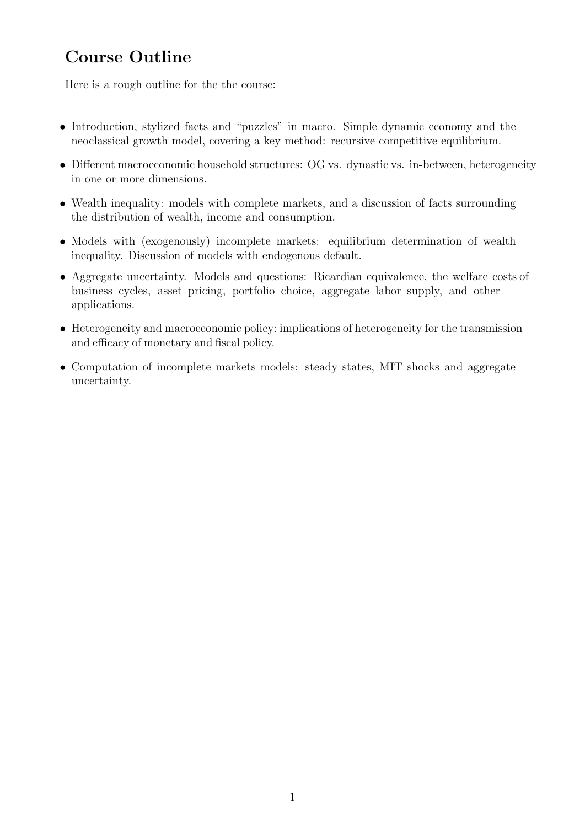## Course Outline

Here is a rough outline for the the course:

- Introduction, stylized facts and "puzzles" in macro. Simple dynamic economy and the neoclassical growth model, covering a key method: recursive competitive equilibrium.
- Different macroeconomic household structures: OG vs. dynastic vs. in-between, heterogeneity in one or more dimensions.
- Wealth inequality: models with complete markets, and a discussion of facts surrounding the distribution of wealth, income and consumption.
- Models with (exogenously) incomplete markets: equilibrium determination of wealth inequality. Discussion of models with endogenous default.
- Aggregate uncertainty. Models and questions: Ricardian equivalence, the welfare costs of business cycles, asset pricing, portfolio choice, aggregate labor supply, and other applications.
- Heterogeneity and macroeconomic policy: implications of heterogeneity for the transmission and efficacy of monetary and fiscal policy.
- Computation of incomplete markets models: steady states, MIT shocks and aggregate uncertainty.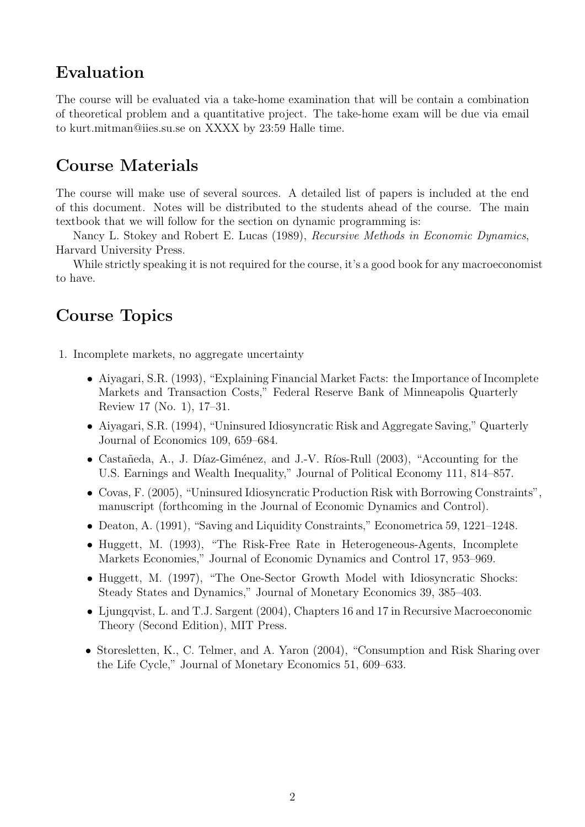## Evaluation

The course will be evaluated via a take-home examination that will be contain a combination of theoretical problem and a quantitative project. The take-home exam will be due via email to kurt.mitman@iies.su.se on XXXX by 23:59 Halle time.

## Course Materials

The course will make use of several sources. A detailed list of papers is included at the end of this document. Notes will be distributed to the students ahead of the course. The main textbook that we will follow for the section on dynamic programming is:

Nancy L. Stokey and Robert E. Lucas (1989), Recursive Methods in Economic Dynamics, Harvard University Press.

While strictly speaking it is not required for the course, it's a good book for any macroeconomist to have.

## Course Topics

1. Incomplete markets, no aggregate uncertainty

- Aiyagari, S.R. (1993), "Explaining Financial Market Facts: the Importance of Incomplete Markets and Transaction Costs," Federal Reserve Bank of Minneapolis Quarterly Review 17 (No. 1), 17–31.
- Aiyagari, S.R. (1994), "Uninsured Idiosyncratic Risk and Aggregate Saving," Quarterly Journal of Economics 109, 659–684.
- Castañeda, A., J. Díaz-Giménez, and J.-V. Ríos-Rull (2003), "Accounting for the U.S. Earnings and Wealth Inequality," Journal of Political Economy 111, 814–857.
- Covas, F. (2005), "Uninsured Idiosyncratic Production Risk with Borrowing Constraints", manuscript (forthcoming in the Journal of Economic Dynamics and Control).
- Deaton, A. (1991), "Saving and Liquidity Constraints," Econometrica 59, 1221–1248.
- Huggett, M. (1993), "The Risk-Free Rate in Heterogeneous-Agents, Incomplete Markets Economies," Journal of Economic Dynamics and Control 17, 953–969.
- Huggett, M. (1997), "The One-Sector Growth Model with Idiosyncratic Shocks: Steady States and Dynamics," Journal of Monetary Economics 39, 385–403.
- Ljungqvist, L. and T.J. Sargent (2004), Chapters 16 and 17 in Recursive Macroeconomic Theory (Second Edition), MIT Press.
- Storesletten, K., C. Telmer, and A. Yaron (2004), "Consumption and Risk Sharing over the Life Cycle," Journal of Monetary Economics 51, 609–633.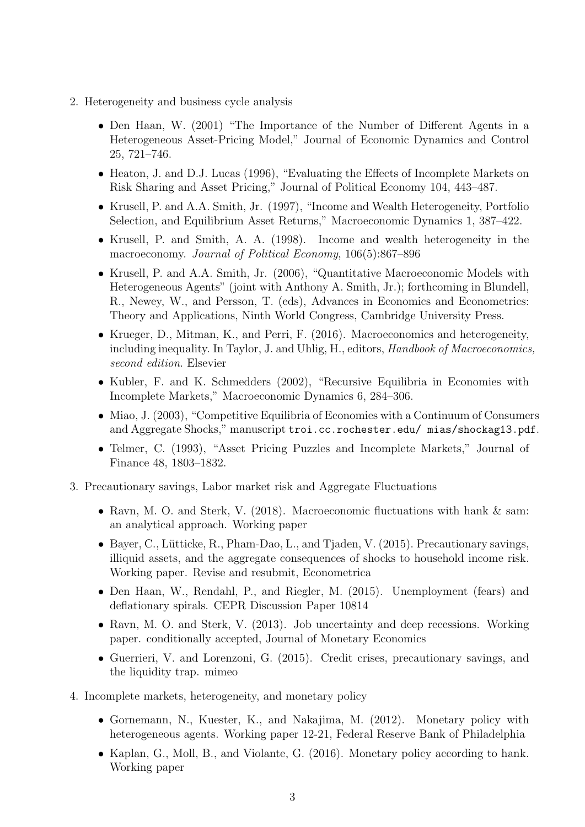- 2. Heterogeneity and business cycle analysis
	- Den Haan, W. (2001) "The Importance of the Number of Different Agents in a Heterogeneous Asset-Pricing Model," Journal of Economic Dynamics and Control 25, 721–746.
	- Heaton, J. and D.J. Lucas (1996), "Evaluating the Effects of Incomplete Markets on Risk Sharing and Asset Pricing," Journal of Political Economy 104, 443–487.
	- Krusell, P. and A.A. Smith, Jr. (1997), "Income and Wealth Heterogeneity, Portfolio Selection, and Equilibrium Asset Returns," Macroeconomic Dynamics 1, 387–422.
	- Krusell, P. and Smith, A. A. (1998). Income and wealth heterogeneity in the macroeconomy. Journal of Political Economy, 106(5):867–896
	- Krusell, P. and A.A. Smith, Jr. (2006), "Quantitative Macroeconomic Models with Heterogeneous Agents" (joint with Anthony A. Smith, Jr.); forthcoming in Blundell, R., Newey, W., and Persson, T. (eds), Advances in Economics and Econometrics: Theory and Applications, Ninth World Congress, Cambridge University Press.
	- Krueger, D., Mitman, K., and Perri, F. (2016). Macroeconomics and heterogeneity, including inequality. In Taylor, J. and Uhlig, H., editors, Handbook of Macroeconomics, second edition. Elsevier
	- Kubler, F. and K. Schmedders (2002), "Recursive Equilibria in Economies with Incomplete Markets," Macroeconomic Dynamics 6, 284–306.
	- Miao, J. (2003), "Competitive Equilibria of Economies with a Continuum of Consumers and Aggregate Shocks," manuscript troi.cc.rochester.edu/ mias/shockag13.pdf.
	- Telmer, C. (1993), "Asset Pricing Puzzles and Incomplete Markets," Journal of Finance 48, 1803–1832.
- 3. Precautionary savings, Labor market risk and Aggregate Fluctuations
	- Ravn, M. O. and Sterk, V. (2018). Macroeconomic fluctuations with hank & sam: an analytical approach. Working paper
	- Bayer, C., Lütticke, R., Pham-Dao, L., and Tjaden, V. (2015). Precautionary savings, illiquid assets, and the aggregate consequences of shocks to household income risk. Working paper. Revise and resubmit, Econometrica
	- Den Haan, W., Rendahl, P., and Riegler, M. (2015). Unemployment (fears) and deflationary spirals. CEPR Discussion Paper 10814
	- Ravn, M. O. and Sterk, V. (2013). Job uncertainty and deep recessions. Working paper. conditionally accepted, Journal of Monetary Economics
	- Guerrieri, V. and Lorenzoni, G. (2015). Credit crises, precautionary savings, and the liquidity trap. mimeo
- 4. Incomplete markets, heterogeneity, and monetary policy
	- Gornemann, N., Kuester, K., and Nakajima, M. (2012). Monetary policy with heterogeneous agents. Working paper 12-21, Federal Reserve Bank of Philadelphia
	- Kaplan, G., Moll, B., and Violante, G. (2016). Monetary policy according to hank. Working paper